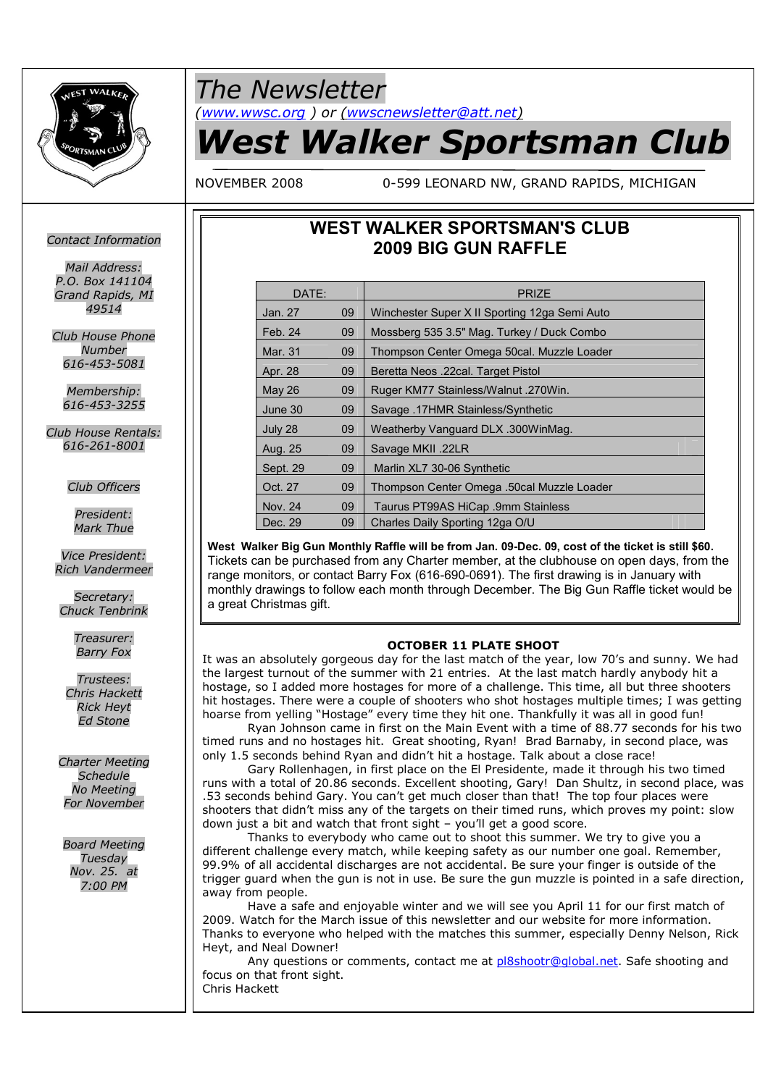

## *The Newsletter*

*(www.wwsc.org ) or (wwscnewsletter@att.net)*

# *West Walker Sportsman Club*

NOVEMBER 2008 0-599 LEONARD NW, GRAND RAPIDS, MICHIGAN

### **WEST WALKER SPORTSMAN'S CLUB 2009 BIG GUN RAFFLE**

| DATE:         |    | <b>PRIZE</b>                                  |
|---------------|----|-----------------------------------------------|
| Jan. 27       | 09 | Winchester Super X II Sporting 12ga Semi Auto |
| Feb. 24       | 09 | Mossberg 535 3.5" Mag. Turkey / Duck Combo    |
| Mar. 31       | 09 | Thompson Center Omega 50cal. Muzzle Loader    |
| Apr. 28       | 09 | Beretta Neos .22cal. Target Pistol            |
| <b>May 26</b> | 09 | Ruger KM77 Stainless/Walnut .270Win.          |
| June 30       | 09 | Savage .17HMR Stainless/Synthetic             |
| July 28       | 09 | Weatherby Vanguard DLX .300WinMag.            |
| Aug. 25       | 09 | Savage MKII .22LR                             |
| Sept. 29      | 09 | Marlin XL7 30-06 Synthetic                    |
| Oct. 27       | 09 | Thompson Center Omega .50cal Muzzle Loader    |
| Nov. 24       | 09 | Taurus PT99AS HiCap .9mm Stainless            |
| Dec. 29       | 09 | Charles Daily Sporting 12ga O/U               |

**West Walker Big Gun Monthly Raffle will be from Jan. 09-Dec. 09, cost of the ticket is still \$60.** Tickets can be purchased from any Charter member, at the clubhouse on open days, from the range monitors, or contact Barry Fox (616-690-0691). The first drawing is in January with monthly drawings to follow each month through December. The Big Gun Raffle ticket would be a great Christmas gift.

#### **OCTOBER 11 PLATE SHOOT**

It was an absolutely gorgeous day for the last match of the year, low 70's and sunny. We had the largest turnout of the summer with 21 entries. At the last match hardly anybody hit a hostage, so I added more hostages for more of a challenge. This time, all but three shooters hit hostages. There were a couple of shooters who shot hostages multiple times; I was getting hoarse from yelling "Hostage" every time they hit one. Thankfully it was all in good fun!

Ryan Johnson came in first on the Main Event with a time of 88.77 seconds for his two timed runs and no hostages hit. Great shooting, Ryan! Brad Barnaby, in second place, was only 1.5 seconds behind Ryan and didn't hit a hostage. Talk about a close race!

Gary Rollenhagen, in first place on the El Presidente, made it through his two timed runs with a total of 20.86 seconds. Excellent shooting, Gary! Dan Shultz, in second place, was .53 seconds behind Gary. You can't get much closer than that! The top four places were shooters that didn't miss any of the targets on their timed runs, which proves my point: slow down just a bit and watch that front sight – you'll get a good score.

Thanks to everybody who came out to shoot this summer. We try to give you a different challenge every match, while keeping safety as our number one goal. Remember, 99.9% of all accidental discharges are not accidental. Be sure your finger is outside of the trigger guard when the gun is not in use. Be sure the gun muzzle is pointed in a safe direction, away from people.

Have a safe and enjoyable winter and we will see you April 11 for our first match of 2009. Watch for the March issue of this newsletter and our website for more information. Thanks to everyone who helped with the matches this summer, especially Denny Nelson, Rick Heyt, and Neal Downer!

Any questions or comments, contact me at pl8shootr@global.net. Safe shooting and focus on that front sight. Chris Hackett

#### *Contact Information*

*Mail Address: P.O. Box 141104 Grand Rapids, MI 49514*

*Club House Phone Number 616-453-5081*

> *Membership: 616-453-3255*

*Club House Rentals: 616-261-8001*

*Club Officers*

*President: Mark Thue*

*Vice President: Rich Vandermeer*

*Secretary: Chuck Tenbrink*

> *Treasurer: Barry Fox*

*Trustees: Chris Hackett Rick Heyt Ed Stone*

*Charter Meeting Schedule No Meeting For November*

*Board Meeting Tuesday Nov. 25. at 7:00 PM*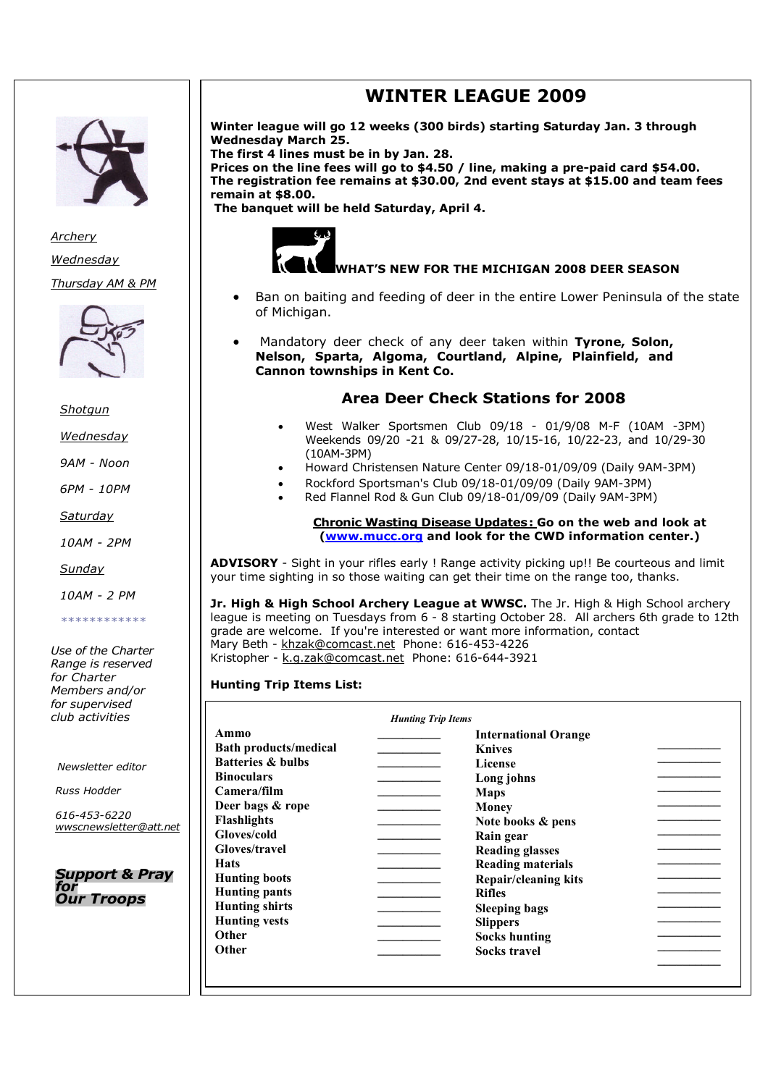

*Archery Wednesday Thursday AM & PM*



*Shotgun*

*Wednesday*

*9AM - Noon*

*6PM - 10PM*

*Saturday*

*10AM - 2PM*

*Sunday*

*10AM - 2 PM*

*\*\*\*\*\*\*\*\*\*\*\*\**

*Use of the Charter Range is reserved for Charter Members and/or for supervised club activities*

*Newsletter editor*

*Russ Hodder*

*616-453-6220 wwscnewsletter@att.net*

*Support & Pray for Our Troops*

## **WINTER LEAGUE 2009**

**Winter league will go 12 weeks (300 birds) starting Saturday Jan. 3 through Wednesday March 25.**

**The first 4 lines must be in by Jan. 28.**

**Prices on the line fees will go to \$4.50 / line, making a pre-paid card \$54.00. The registration fee remains at \$30.00, 2nd event stays at \$15.00 and team fees remain at \$8.00.**

**The banquet will be held Saturday, April 4.**



#### **WHAT'S NEW FOR THE MICHIGAN 2008 DEER SEASON**

- Ban on baiting and feeding of deer in the entire Lower Peninsula of the state of Michigan.
- Mandatory deer check of any deer taken within **Tyrone, Solon, Nelson, Sparta, Algoma, Courtland, Alpine, Plainfield, and Cannon townships in Kent Co.**

#### **Area Deer Check Stations for 2008**

- West Walker Sportsmen Club 09/18 01/9/08 M-F (10AM -3PM) Weekends 09/20 -21 & 09/27-28, 10/15-16, 10/22-23, and 10/29-30 (10AM-3PM)
- Howard Christensen Nature Center 09/18-01/09/09 (Daily 9AM-3PM)
- Rockford Sportsman's Club 09/18-01/09/09 (Daily 9AM-3PM)
- Red Flannel Rod & Gun Club 09/18-01/09/09 (Daily 9AM-3PM)

#### **Chronic Wasting Disease Updates: Go on the web and look at (www.mucc.org and look for the CWD information center.)**

**ADVISORY** - Sight in your rifles early ! Range activity picking up!! Be courteous and limit your time sighting in so those waiting can get their time on the range too, thanks.

**Jr. High & High School Archery League at WWSC.** The Jr. High & High School archery league is meeting on Tuesdays from 6 - 8 starting October 28. All archers 6th grade to 12th grade are welcome. If you're interested or want more information, contact Mary Beth - khzak@comcast.net Phone: 616-453-4226 Kristopher - k.g.zak@comcast.net Phone: 616-644-3921

#### **Hunting Trip Items List:**

| Ammo                         | <b>International Orange</b> |  |
|------------------------------|-----------------------------|--|
| <b>Bath products/medical</b> | <b>Knives</b>               |  |
| <b>Batteries &amp; bulbs</b> | License                     |  |
| <b>Binoculars</b>            | Long johns                  |  |
| Camera/film                  | <b>Maps</b>                 |  |
| Deer bags & rope             | Money                       |  |
| <b>Flashlights</b>           | Note books & pens           |  |
| Gloves/cold                  | Rain gear                   |  |
| Gloves/travel                | <b>Reading glasses</b>      |  |
| <b>Hats</b>                  | <b>Reading materials</b>    |  |
| <b>Hunting boots</b>         | <b>Repair/cleaning kits</b> |  |
| <b>Hunting pants</b>         | <b>Rifles</b>               |  |
| <b>Hunting shirts</b>        | <b>Sleeping bags</b>        |  |
| <b>Hunting vests</b>         | <b>Slippers</b>             |  |
| Other                        | <b>Socks hunting</b>        |  |
| Other                        | <b>Socks travel</b>         |  |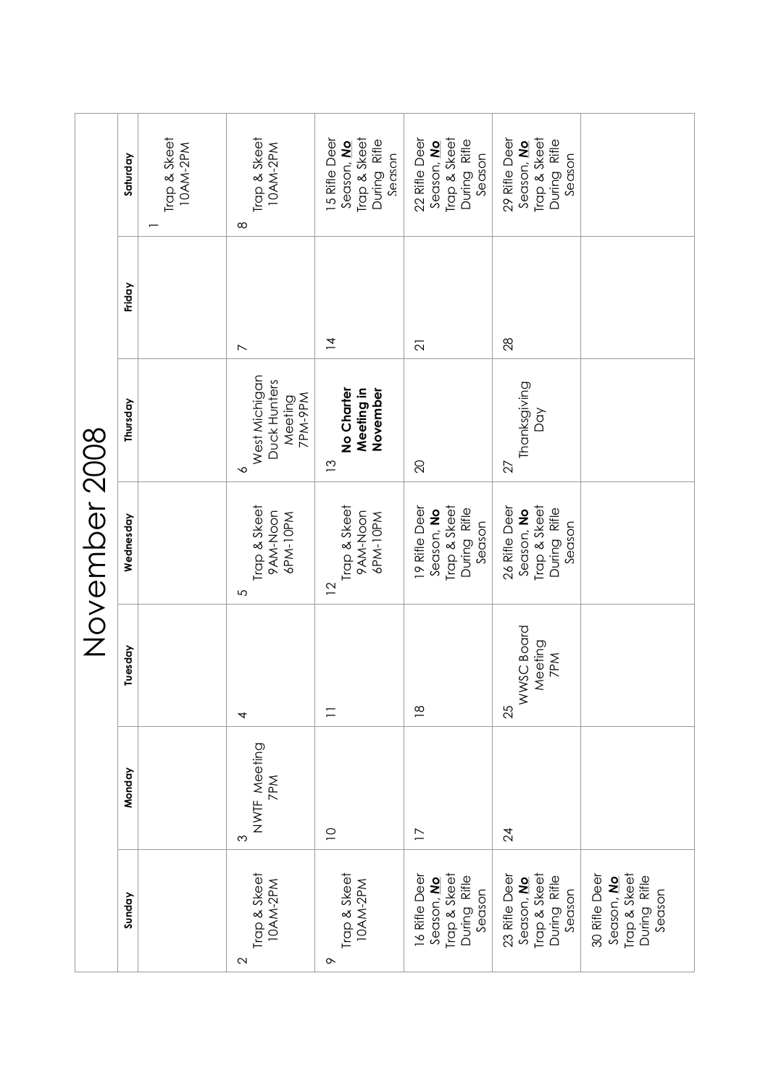|                                                                        |                          |                                    | November 2008                                                         |                                                          |                          |                                                                        |
|------------------------------------------------------------------------|--------------------------|------------------------------------|-----------------------------------------------------------------------|----------------------------------------------------------|--------------------------|------------------------------------------------------------------------|
| Sunday                                                                 | Monday                   | Tuesday                            | Wednesday                                                             | Thursday                                                 | Friday                   | Saturday                                                               |
|                                                                        |                          |                                    |                                                                       |                                                          |                          | Trap & Skeet<br>10AM-2PM                                               |
| Trap & Skeet<br>10AM-2PM<br>$\mathbf 2$                                | NWTF Meeting<br>7PM<br>ς | 4                                  | Trap & Skeet<br>9AM-Noon<br>6PM-10PM<br>5                             | West Michigan<br>Duck Hunters<br>Meeting<br>7PM-9PM<br>∽ | $\overline{\phantom{0}}$ | Trap & Skeet<br>10AM-2PM<br>$\infty$                                   |
| Trap & Skeet<br>10AM-2PM<br>$\sim$                                     | $\supseteq$              | $\equiv$                           | Trap & Skeet<br>9AM-Noon<br>6PM-10PM<br>$\overline{2}$                | Meeting in<br>No Charter<br>November<br>$\tilde{c}$      | $\overline{4}$           | Trap & Skeet<br>15 Rifle Deer<br>During Rifle<br>Season, No.<br>Season |
| Trap & Skeet<br>16 Rifle Deer<br>During Rifle<br>Season, No<br>Season  | $\overline{1}$           | $\frac{8}{1}$                      | 19 Rifle Deer<br>Trap & Skeet<br>During Rifle<br>Season, No<br>Season | 20                                                       | $\overline{2}$           | Trap & Skeet<br>22 Rifle Deer<br>During Rifle<br>Season, No.<br>Season |
| Trap & Skeet<br>23 Rifle Deer<br>During Rifle<br>Season, No.<br>Season | 24                       | WWSC Board<br>Meeting<br>7PM<br>25 | 26 Rifle Deer<br>Trap & Skeet<br>During Rifle<br>Season, No<br>Season | Thanksgiving<br>Dσγ<br>27                                | 28                       | Trap & Skeet<br>29 Rifle Deer<br>During Rifle<br>Season, No.<br>Season |
| Trap & Skeet<br>During Rifle<br>30 Rifle Deer<br>Season, No<br>Season  |                          |                                    |                                                                       |                                                          |                          |                                                                        |